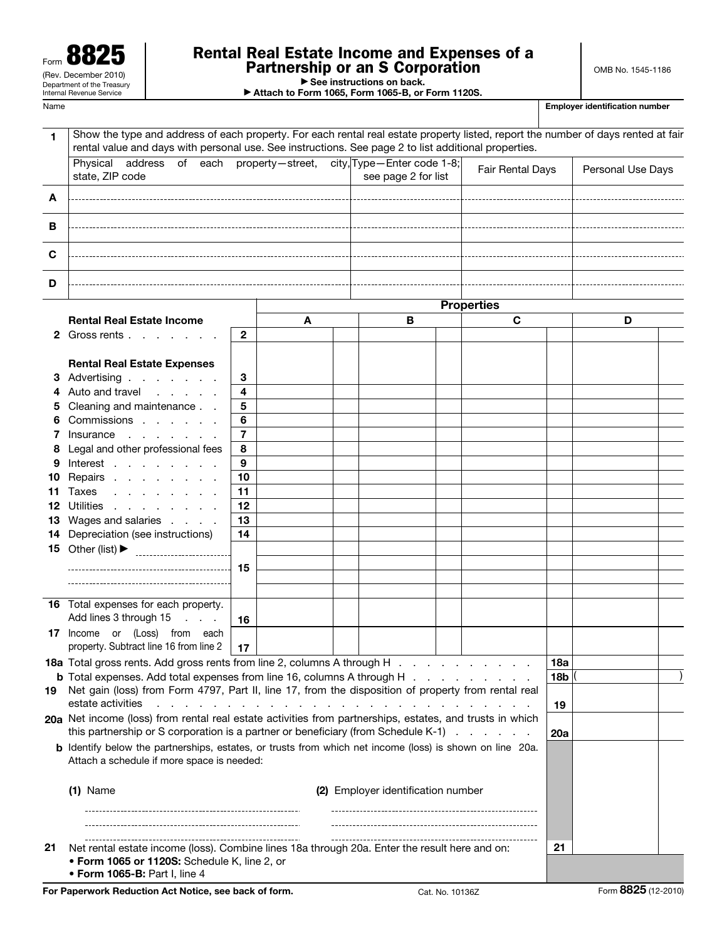| и.<br>Form                                             |  |  |  |  |  |  |
|--------------------------------------------------------|--|--|--|--|--|--|
| (Rev. December 2010)                                   |  |  |  |  |  |  |
| Department of the Treasury<br>Internal Revenue Service |  |  |  |  |  |  |
|                                                        |  |  |  |  |  |  |

# Rental Real Estate Income and Expenses of a Partnership or an S Corporation

OMB No. 1545-1186

| $\triangleright$ See instructions on back. |  |
|--------------------------------------------|--|

▶ Attach to Form 1065, Form 1065-B, or Form 1120S.

| Show the type and address of each property. For each rental real estate property listed, report the number of days rented at fair<br>1<br>rental value and days with personal use. See instructions. See page 2 to list additional properties.<br>Physical<br>address of each property-street, city, Type-Enter code 1-8;<br>Fair Rental Days<br>Personal Use Days<br>state, ZIP code<br>see page 2 for list<br>$\overline{\phantom{a}}$ . The contract of $\overline{\phantom{a}}$<br>A<br>в<br>C<br>D<br><b>Properties</b><br><b>Rental Real Estate Income</b><br>C<br>A<br>В<br>D<br>$\mathbf{2}$<br>2 Gross rents<br><b>Rental Real Estate Expenses</b><br>3 Advertising<br>3<br>Auto and travel<br>4<br>Cleaning and maintenance<br>5<br>5<br>Commissions<br>6<br>7<br>Insurance<br>7<br>Legal and other professional fees<br>8<br>9<br>Interest<br>9<br>10<br>Repairs<br>10<br>11<br>Taxes<br>11.<br>12<br>Utilities<br>12<br>13<br>13 Wages and salaries<br>Depreciation (see instructions)<br>14<br>14<br>15<br>16 Total expenses for each property.<br>Add lines 3 through 15<br>16<br>17 Income or (Loss) from each<br>property. Subtract line 16 from line 2<br>17<br><b>18a</b> Total gross rents. Add gross rents from line 2, columns A through H<br>18a<br><b>b</b> Total expenses. Add total expenses from line 16, columns A through H<br><b>18b</b><br>Net gain (loss) from Form 4797, Part II, line 17, from the disposition of property from rental real<br>estate activities<br>19<br>20a Net income (loss) from rental real estate activities from partnerships, estates, and trusts in which<br>this partnership or S corporation is a partner or beneficiary (from Schedule K-1)<br>20a<br><b>b</b> Identify below the partnerships, estates, or trusts from which net income (loss) is shown on line 20a.<br>Attach a schedule if more space is needed:<br>$(1)$ Name<br>(2) Employer identification number<br>21<br>Net rental estate income (loss). Combine lines 18a through 20a. Enter the result here and on:<br>21 | Name |  |  |  |  |  |  | <b>Employer identification number</b> |  |
|---------------------------------------------------------------------------------------------------------------------------------------------------------------------------------------------------------------------------------------------------------------------------------------------------------------------------------------------------------------------------------------------------------------------------------------------------------------------------------------------------------------------------------------------------------------------------------------------------------------------------------------------------------------------------------------------------------------------------------------------------------------------------------------------------------------------------------------------------------------------------------------------------------------------------------------------------------------------------------------------------------------------------------------------------------------------------------------------------------------------------------------------------------------------------------------------------------------------------------------------------------------------------------------------------------------------------------------------------------------------------------------------------------------------------------------------------------------------------------------------------------------------------------------------------------------------------------------------------------------------------------------------------------------------------------------------------------------------------------------------------------------------------------------------------------------------------------------------------------------------------------------------------------------------------------------------------------------------------------------------------------------------------------------------------|------|--|--|--|--|--|--|---------------------------------------|--|
|                                                                                                                                                                                                                                                                                                                                                                                                                                                                                                                                                                                                                                                                                                                                                                                                                                                                                                                                                                                                                                                                                                                                                                                                                                                                                                                                                                                                                                                                                                                                                                                                                                                                                                                                                                                                                                                                                                                                                                                                                                                   |      |  |  |  |  |  |  |                                       |  |
|                                                                                                                                                                                                                                                                                                                                                                                                                                                                                                                                                                                                                                                                                                                                                                                                                                                                                                                                                                                                                                                                                                                                                                                                                                                                                                                                                                                                                                                                                                                                                                                                                                                                                                                                                                                                                                                                                                                                                                                                                                                   |      |  |  |  |  |  |  |                                       |  |
|                                                                                                                                                                                                                                                                                                                                                                                                                                                                                                                                                                                                                                                                                                                                                                                                                                                                                                                                                                                                                                                                                                                                                                                                                                                                                                                                                                                                                                                                                                                                                                                                                                                                                                                                                                                                                                                                                                                                                                                                                                                   |      |  |  |  |  |  |  |                                       |  |
|                                                                                                                                                                                                                                                                                                                                                                                                                                                                                                                                                                                                                                                                                                                                                                                                                                                                                                                                                                                                                                                                                                                                                                                                                                                                                                                                                                                                                                                                                                                                                                                                                                                                                                                                                                                                                                                                                                                                                                                                                                                   |      |  |  |  |  |  |  |                                       |  |
|                                                                                                                                                                                                                                                                                                                                                                                                                                                                                                                                                                                                                                                                                                                                                                                                                                                                                                                                                                                                                                                                                                                                                                                                                                                                                                                                                                                                                                                                                                                                                                                                                                                                                                                                                                                                                                                                                                                                                                                                                                                   |      |  |  |  |  |  |  |                                       |  |
|                                                                                                                                                                                                                                                                                                                                                                                                                                                                                                                                                                                                                                                                                                                                                                                                                                                                                                                                                                                                                                                                                                                                                                                                                                                                                                                                                                                                                                                                                                                                                                                                                                                                                                                                                                                                                                                                                                                                                                                                                                                   |      |  |  |  |  |  |  |                                       |  |
|                                                                                                                                                                                                                                                                                                                                                                                                                                                                                                                                                                                                                                                                                                                                                                                                                                                                                                                                                                                                                                                                                                                                                                                                                                                                                                                                                                                                                                                                                                                                                                                                                                                                                                                                                                                                                                                                                                                                                                                                                                                   |      |  |  |  |  |  |  |                                       |  |
|                                                                                                                                                                                                                                                                                                                                                                                                                                                                                                                                                                                                                                                                                                                                                                                                                                                                                                                                                                                                                                                                                                                                                                                                                                                                                                                                                                                                                                                                                                                                                                                                                                                                                                                                                                                                                                                                                                                                                                                                                                                   |      |  |  |  |  |  |  |                                       |  |
|                                                                                                                                                                                                                                                                                                                                                                                                                                                                                                                                                                                                                                                                                                                                                                                                                                                                                                                                                                                                                                                                                                                                                                                                                                                                                                                                                                                                                                                                                                                                                                                                                                                                                                                                                                                                                                                                                                                                                                                                                                                   |      |  |  |  |  |  |  |                                       |  |
|                                                                                                                                                                                                                                                                                                                                                                                                                                                                                                                                                                                                                                                                                                                                                                                                                                                                                                                                                                                                                                                                                                                                                                                                                                                                                                                                                                                                                                                                                                                                                                                                                                                                                                                                                                                                                                                                                                                                                                                                                                                   |      |  |  |  |  |  |  |                                       |  |
|                                                                                                                                                                                                                                                                                                                                                                                                                                                                                                                                                                                                                                                                                                                                                                                                                                                                                                                                                                                                                                                                                                                                                                                                                                                                                                                                                                                                                                                                                                                                                                                                                                                                                                                                                                                                                                                                                                                                                                                                                                                   |      |  |  |  |  |  |  |                                       |  |
|                                                                                                                                                                                                                                                                                                                                                                                                                                                                                                                                                                                                                                                                                                                                                                                                                                                                                                                                                                                                                                                                                                                                                                                                                                                                                                                                                                                                                                                                                                                                                                                                                                                                                                                                                                                                                                                                                                                                                                                                                                                   |      |  |  |  |  |  |  |                                       |  |
|                                                                                                                                                                                                                                                                                                                                                                                                                                                                                                                                                                                                                                                                                                                                                                                                                                                                                                                                                                                                                                                                                                                                                                                                                                                                                                                                                                                                                                                                                                                                                                                                                                                                                                                                                                                                                                                                                                                                                                                                                                                   |      |  |  |  |  |  |  |                                       |  |
|                                                                                                                                                                                                                                                                                                                                                                                                                                                                                                                                                                                                                                                                                                                                                                                                                                                                                                                                                                                                                                                                                                                                                                                                                                                                                                                                                                                                                                                                                                                                                                                                                                                                                                                                                                                                                                                                                                                                                                                                                                                   |      |  |  |  |  |  |  |                                       |  |
|                                                                                                                                                                                                                                                                                                                                                                                                                                                                                                                                                                                                                                                                                                                                                                                                                                                                                                                                                                                                                                                                                                                                                                                                                                                                                                                                                                                                                                                                                                                                                                                                                                                                                                                                                                                                                                                                                                                                                                                                                                                   |      |  |  |  |  |  |  |                                       |  |
|                                                                                                                                                                                                                                                                                                                                                                                                                                                                                                                                                                                                                                                                                                                                                                                                                                                                                                                                                                                                                                                                                                                                                                                                                                                                                                                                                                                                                                                                                                                                                                                                                                                                                                                                                                                                                                                                                                                                                                                                                                                   |      |  |  |  |  |  |  |                                       |  |
|                                                                                                                                                                                                                                                                                                                                                                                                                                                                                                                                                                                                                                                                                                                                                                                                                                                                                                                                                                                                                                                                                                                                                                                                                                                                                                                                                                                                                                                                                                                                                                                                                                                                                                                                                                                                                                                                                                                                                                                                                                                   |      |  |  |  |  |  |  |                                       |  |
|                                                                                                                                                                                                                                                                                                                                                                                                                                                                                                                                                                                                                                                                                                                                                                                                                                                                                                                                                                                                                                                                                                                                                                                                                                                                                                                                                                                                                                                                                                                                                                                                                                                                                                                                                                                                                                                                                                                                                                                                                                                   |      |  |  |  |  |  |  |                                       |  |
|                                                                                                                                                                                                                                                                                                                                                                                                                                                                                                                                                                                                                                                                                                                                                                                                                                                                                                                                                                                                                                                                                                                                                                                                                                                                                                                                                                                                                                                                                                                                                                                                                                                                                                                                                                                                                                                                                                                                                                                                                                                   |      |  |  |  |  |  |  |                                       |  |
|                                                                                                                                                                                                                                                                                                                                                                                                                                                                                                                                                                                                                                                                                                                                                                                                                                                                                                                                                                                                                                                                                                                                                                                                                                                                                                                                                                                                                                                                                                                                                                                                                                                                                                                                                                                                                                                                                                                                                                                                                                                   |      |  |  |  |  |  |  |                                       |  |
|                                                                                                                                                                                                                                                                                                                                                                                                                                                                                                                                                                                                                                                                                                                                                                                                                                                                                                                                                                                                                                                                                                                                                                                                                                                                                                                                                                                                                                                                                                                                                                                                                                                                                                                                                                                                                                                                                                                                                                                                                                                   |      |  |  |  |  |  |  |                                       |  |
|                                                                                                                                                                                                                                                                                                                                                                                                                                                                                                                                                                                                                                                                                                                                                                                                                                                                                                                                                                                                                                                                                                                                                                                                                                                                                                                                                                                                                                                                                                                                                                                                                                                                                                                                                                                                                                                                                                                                                                                                                                                   |      |  |  |  |  |  |  |                                       |  |
|                                                                                                                                                                                                                                                                                                                                                                                                                                                                                                                                                                                                                                                                                                                                                                                                                                                                                                                                                                                                                                                                                                                                                                                                                                                                                                                                                                                                                                                                                                                                                                                                                                                                                                                                                                                                                                                                                                                                                                                                                                                   |      |  |  |  |  |  |  |                                       |  |
|                                                                                                                                                                                                                                                                                                                                                                                                                                                                                                                                                                                                                                                                                                                                                                                                                                                                                                                                                                                                                                                                                                                                                                                                                                                                                                                                                                                                                                                                                                                                                                                                                                                                                                                                                                                                                                                                                                                                                                                                                                                   |      |  |  |  |  |  |  |                                       |  |
|                                                                                                                                                                                                                                                                                                                                                                                                                                                                                                                                                                                                                                                                                                                                                                                                                                                                                                                                                                                                                                                                                                                                                                                                                                                                                                                                                                                                                                                                                                                                                                                                                                                                                                                                                                                                                                                                                                                                                                                                                                                   |      |  |  |  |  |  |  |                                       |  |
|                                                                                                                                                                                                                                                                                                                                                                                                                                                                                                                                                                                                                                                                                                                                                                                                                                                                                                                                                                                                                                                                                                                                                                                                                                                                                                                                                                                                                                                                                                                                                                                                                                                                                                                                                                                                                                                                                                                                                                                                                                                   |      |  |  |  |  |  |  |                                       |  |
|                                                                                                                                                                                                                                                                                                                                                                                                                                                                                                                                                                                                                                                                                                                                                                                                                                                                                                                                                                                                                                                                                                                                                                                                                                                                                                                                                                                                                                                                                                                                                                                                                                                                                                                                                                                                                                                                                                                                                                                                                                                   |      |  |  |  |  |  |  |                                       |  |
|                                                                                                                                                                                                                                                                                                                                                                                                                                                                                                                                                                                                                                                                                                                                                                                                                                                                                                                                                                                                                                                                                                                                                                                                                                                                                                                                                                                                                                                                                                                                                                                                                                                                                                                                                                                                                                                                                                                                                                                                                                                   |      |  |  |  |  |  |  |                                       |  |
|                                                                                                                                                                                                                                                                                                                                                                                                                                                                                                                                                                                                                                                                                                                                                                                                                                                                                                                                                                                                                                                                                                                                                                                                                                                                                                                                                                                                                                                                                                                                                                                                                                                                                                                                                                                                                                                                                                                                                                                                                                                   |      |  |  |  |  |  |  |                                       |  |
|                                                                                                                                                                                                                                                                                                                                                                                                                                                                                                                                                                                                                                                                                                                                                                                                                                                                                                                                                                                                                                                                                                                                                                                                                                                                                                                                                                                                                                                                                                                                                                                                                                                                                                                                                                                                                                                                                                                                                                                                                                                   |      |  |  |  |  |  |  |                                       |  |
|                                                                                                                                                                                                                                                                                                                                                                                                                                                                                                                                                                                                                                                                                                                                                                                                                                                                                                                                                                                                                                                                                                                                                                                                                                                                                                                                                                                                                                                                                                                                                                                                                                                                                                                                                                                                                                                                                                                                                                                                                                                   |      |  |  |  |  |  |  |                                       |  |
|                                                                                                                                                                                                                                                                                                                                                                                                                                                                                                                                                                                                                                                                                                                                                                                                                                                                                                                                                                                                                                                                                                                                                                                                                                                                                                                                                                                                                                                                                                                                                                                                                                                                                                                                                                                                                                                                                                                                                                                                                                                   | 19   |  |  |  |  |  |  |                                       |  |
|                                                                                                                                                                                                                                                                                                                                                                                                                                                                                                                                                                                                                                                                                                                                                                                                                                                                                                                                                                                                                                                                                                                                                                                                                                                                                                                                                                                                                                                                                                                                                                                                                                                                                                                                                                                                                                                                                                                                                                                                                                                   |      |  |  |  |  |  |  |                                       |  |
|                                                                                                                                                                                                                                                                                                                                                                                                                                                                                                                                                                                                                                                                                                                                                                                                                                                                                                                                                                                                                                                                                                                                                                                                                                                                                                                                                                                                                                                                                                                                                                                                                                                                                                                                                                                                                                                                                                                                                                                                                                                   |      |  |  |  |  |  |  |                                       |  |
|                                                                                                                                                                                                                                                                                                                                                                                                                                                                                                                                                                                                                                                                                                                                                                                                                                                                                                                                                                                                                                                                                                                                                                                                                                                                                                                                                                                                                                                                                                                                                                                                                                                                                                                                                                                                                                                                                                                                                                                                                                                   |      |  |  |  |  |  |  |                                       |  |
|                                                                                                                                                                                                                                                                                                                                                                                                                                                                                                                                                                                                                                                                                                                                                                                                                                                                                                                                                                                                                                                                                                                                                                                                                                                                                                                                                                                                                                                                                                                                                                                                                                                                                                                                                                                                                                                                                                                                                                                                                                                   |      |  |  |  |  |  |  |                                       |  |
|                                                                                                                                                                                                                                                                                                                                                                                                                                                                                                                                                                                                                                                                                                                                                                                                                                                                                                                                                                                                                                                                                                                                                                                                                                                                                                                                                                                                                                                                                                                                                                                                                                                                                                                                                                                                                                                                                                                                                                                                                                                   |      |  |  |  |  |  |  |                                       |  |

• Form 1065 or 1120S: Schedule K, line 2, or • Form 1065-B: Part I, line 4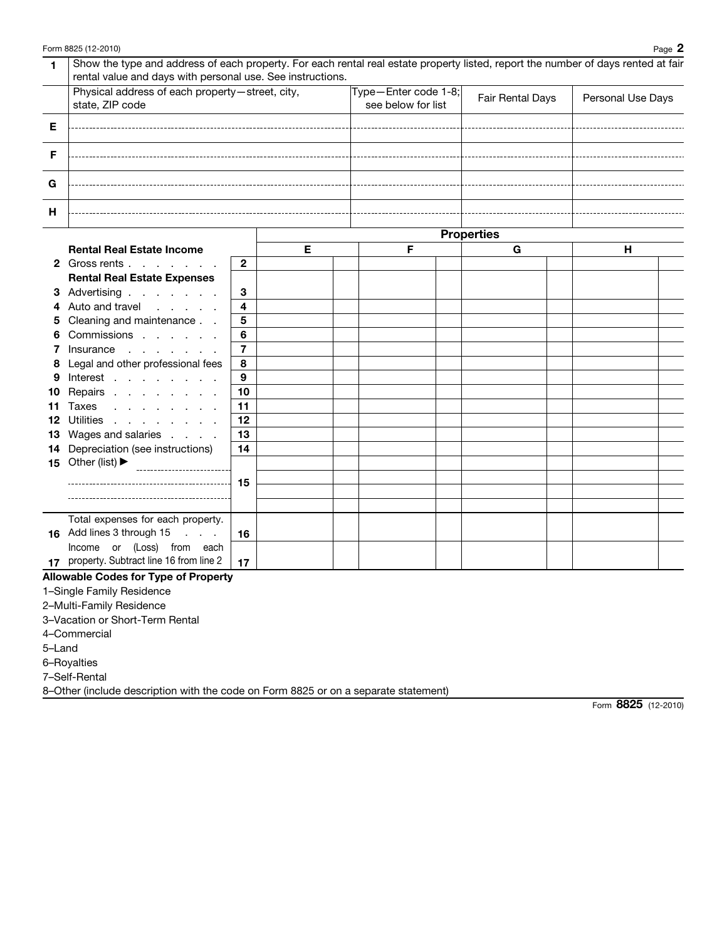| 1      | Show the type and address of each property. For each rental real estate property listed, report the number of days rented at fair<br>rental value and days with personal use. See instructions. |                     |   |                                            |  |                   |  |                   |  |
|--------|-------------------------------------------------------------------------------------------------------------------------------------------------------------------------------------------------|---------------------|---|--------------------------------------------|--|-------------------|--|-------------------|--|
|        | Physical address of each property-street, city,<br>state, ZIP code                                                                                                                              |                     |   | Type-Enter code 1-8;<br>see below for list |  | Fair Rental Days  |  | Personal Use Days |  |
| Е      |                                                                                                                                                                                                 |                     |   |                                            |  |                   |  |                   |  |
| F      |                                                                                                                                                                                                 |                     |   |                                            |  |                   |  |                   |  |
| G      |                                                                                                                                                                                                 |                     |   |                                            |  |                   |  |                   |  |
| н      |                                                                                                                                                                                                 |                     |   |                                            |  |                   |  |                   |  |
|        |                                                                                                                                                                                                 |                     |   |                                            |  | <b>Properties</b> |  |                   |  |
|        | <b>Rental Real Estate Income</b>                                                                                                                                                                |                     | Е | F                                          |  | G                 |  | н.                |  |
|        | 2 Gross rents                                                                                                                                                                                   | $\mathbf{2}$        |   |                                            |  |                   |  |                   |  |
|        | <b>Rental Real Estate Expenses</b>                                                                                                                                                              |                     |   |                                            |  |                   |  |                   |  |
|        | 3 Advertising                                                                                                                                                                                   | 3                   |   |                                            |  |                   |  |                   |  |
| 4      | Auto and travel                                                                                                                                                                                 | 4                   |   |                                            |  |                   |  |                   |  |
| 5      | Cleaning and maintenance                                                                                                                                                                        | 5                   |   |                                            |  |                   |  |                   |  |
| 6      | Commissions                                                                                                                                                                                     | 6                   |   |                                            |  |                   |  |                   |  |
| 7      | Insurance                                                                                                                                                                                       | $\overline{7}$<br>8 |   |                                            |  |                   |  |                   |  |
| 8<br>9 | Legal and other professional fees<br>Interest                                                                                                                                                   | 9                   |   |                                            |  |                   |  |                   |  |
| 10     | Repairs                                                                                                                                                                                         | 10                  |   |                                            |  |                   |  |                   |  |
| 11     | Taxes                                                                                                                                                                                           | 11                  |   |                                            |  |                   |  |                   |  |
| 12     | Utilities                                                                                                                                                                                       | 12                  |   |                                            |  |                   |  |                   |  |
| 13     | Wages and salaries                                                                                                                                                                              | 13                  |   |                                            |  |                   |  |                   |  |
| 14     | Depreciation (see instructions)                                                                                                                                                                 | 14                  |   |                                            |  |                   |  |                   |  |
|        | 15 Other (list) $\blacktriangleright$                                                                                                                                                           |                     |   |                                            |  |                   |  |                   |  |
|        |                                                                                                                                                                                                 | -15                 |   |                                            |  |                   |  |                   |  |
|        |                                                                                                                                                                                                 |                     |   |                                            |  |                   |  |                   |  |
|        |                                                                                                                                                                                                 |                     |   |                                            |  |                   |  |                   |  |
|        | Total expenses for each property.<br>16 Add lines 3 through 15                                                                                                                                  |                     |   |                                            |  |                   |  |                   |  |
|        | Income or (Loss) from each                                                                                                                                                                      | 16                  |   |                                            |  |                   |  |                   |  |
| 17     | property. Subtract line 16 from line 2                                                                                                                                                          | 17                  |   |                                            |  |                   |  |                   |  |

### Allowable Codes for Type of Property

1–Single Family Residence

2–Multi-Family Residence

3–Vacation or Short-Term Rental

4–Commercial

5–Land

6–Royalties

7–Self-Rental

8–Other (include description with the code on Form 8825 or on a separate statement)

Form 8825 (12-2010)